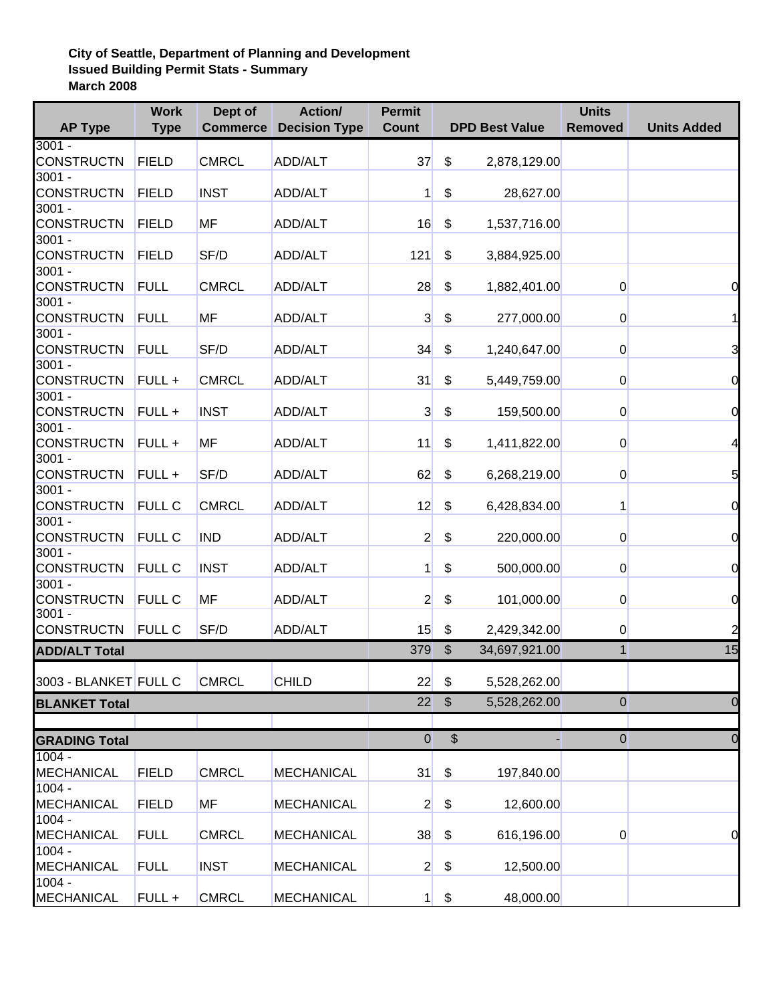## **City of Seattle, Department of Planning and Development Issued Building Permit Stats - Summary March 2008**

|                               | <b>Work</b>   | Dept of         | Action/              | <b>Permit</b>    |                         |                       | <b>Units</b>   |                    |
|-------------------------------|---------------|-----------------|----------------------|------------------|-------------------------|-----------------------|----------------|--------------------|
| <b>AP Type</b>                | <b>Type</b>   | <b>Commerce</b> | <b>Decision Type</b> | <b>Count</b>     |                         | <b>DPD Best Value</b> | <b>Removed</b> | <b>Units Added</b> |
| $3001 -$                      |               |                 |                      |                  |                         |                       |                |                    |
| <b>CONSTRUCTN</b>             | <b>FIELD</b>  | <b>CMRCL</b>    | ADD/ALT              | 37               | \$                      | 2,878,129.00          |                |                    |
| $3001 -$<br><b>CONSTRUCTN</b> |               |                 |                      |                  |                         |                       |                |                    |
|                               | <b>FIELD</b>  | <b>INST</b>     | ADD/ALT              | 1                | \$                      | 28,627.00             |                |                    |
| $3001 -$                      |               |                 |                      |                  |                         |                       |                |                    |
| <b>CONSTRUCTN</b>             | <b>FIELD</b>  | MF              | ADD/ALT              | 16               | \$                      | 1,537,716.00          |                |                    |
| $3001 -$<br><b>CONSTRUCTN</b> | <b>FIELD</b>  | SF/D            |                      |                  |                         |                       |                |                    |
| $3001 -$                      |               |                 | <b>ADD/ALT</b>       | 121              | \$                      | 3,884,925.00          |                |                    |
| <b>CONSTRUCTN</b>             | <b>FULL</b>   | <b>CMRCL</b>    | ADD/ALT              | 28               | \$                      |                       |                |                    |
| $3001 -$                      |               |                 |                      |                  |                         | 1,882,401.00          | $\overline{0}$ | 0                  |
| <b>CONSTRUCTN</b>             | <b>FULL</b>   | MF              | <b>ADD/ALT</b>       | $\mathbf{3}$     | \$                      | 277,000.00            | $\overline{0}$ |                    |
| $3001 -$                      |               |                 |                      |                  |                         |                       |                |                    |
| <b>CONSTRUCTN</b>             | <b>FULL</b>   | SF/D            | ADD/ALT              | 34               | \$                      | 1,240,647.00          | $\overline{0}$ | 3                  |
| $3001 -$                      |               |                 |                      |                  |                         |                       |                |                    |
| <b>CONSTRUCTN</b>             | FULL +        | <b>CMRCL</b>    | ADD/ALT              | 31               | \$                      | 5,449,759.00          | $\overline{0}$ | 0                  |
| $3001 -$                      |               |                 |                      |                  |                         |                       |                |                    |
| <b>CONSTRUCTN</b>             | FULL +        | <b>INST</b>     | ADD/ALT              | $\overline{3}$   | \$                      | 159,500.00            | $\overline{0}$ | 0                  |
| $3001 -$                      |               |                 |                      |                  |                         |                       |                |                    |
| <b>CONSTRUCTN</b>             | FULL +        | <b>MF</b>       | ADD/ALT              | 11               | \$                      | 1,411,822.00          | $\overline{0}$ | 4                  |
| $3001 -$                      |               |                 |                      |                  |                         |                       |                |                    |
| <b>CONSTRUCTN</b>             | FULL +        | SF/D            | ADD/ALT              | 62               | \$                      | 6,268,219.00          | $\overline{0}$ | 5                  |
| $3001 -$                      |               |                 |                      |                  |                         |                       |                |                    |
| <b>CONSTRUCTN</b>             | <b>FULL C</b> | <b>CMRCL</b>    | <b>ADD/ALT</b>       | 12               | \$                      | 6,428,834.00          | 1              | 0                  |
| $3001 -$                      |               |                 |                      |                  |                         |                       |                |                    |
| <b>CONSTRUCTN</b>             | <b>FULL C</b> | <b>IND</b>      | ADD/ALT              | $\overline{2}$   | \$                      | 220,000.00            | $\overline{0}$ | $\overline{0}$     |
| $3001 -$                      |               |                 |                      |                  |                         |                       |                |                    |
| <b>CONSTRUCTN</b>             | <b>FULL C</b> | <b>INST</b>     | ADD/ALT              | 1                | \$                      | 500,000.00            | $\overline{0}$ | $\overline{O}$     |
| $3001 -$                      |               |                 |                      |                  |                         |                       |                |                    |
| <b>CONSTRUCTN</b>             | <b>FULL C</b> | MF              | ADD/ALT              | $\overline{2}$   | \$                      | 101,000.00            | $\overline{0}$ | 0                  |
| $3001 -$                      |               |                 |                      |                  |                         |                       |                |                    |
| <b>CONSTRUCTN</b>             | <b>FULL C</b> | SF/D            | ADD/ALT              | 15               | \$                      | 2,429,342.00          | $\overline{0}$ | $\overline{c}$     |
| <b>ADD/ALT Total</b>          |               |                 |                      | 379              | $\sqrt[6]{\frac{1}{2}}$ | 34,697,921.00         | $\mathbf{1}$   | 15                 |
|                               |               |                 |                      |                  |                         |                       |                |                    |
| 3003 - BLANKET FULL C         |               | <b>CMRCL</b>    | <b>CHILD</b>         | 22               | \$                      | 5,528,262.00          |                |                    |
| <b>BLANKET Total</b>          |               |                 |                      | 22               | $\frac{1}{2}$           | 5,528,262.00          | $\bf 0$        | 0                  |
|                               |               |                 |                      |                  |                         |                       |                |                    |
|                               |               |                 |                      |                  |                         |                       |                |                    |
| <b>GRADING Total</b>          |               |                 |                      | $\boldsymbol{0}$ |                         | $$\mathbb{S}$$        | $\mathbf 0$    | 0                  |
| $1004 -$                      |               |                 |                      |                  |                         |                       |                |                    |
| <b>MECHANICAL</b>             | <b>FIELD</b>  | <b>CMRCL</b>    | <b>MECHANICAL</b>    | 31               | \$                      | 197,840.00            |                |                    |
| $1004 -$                      |               |                 |                      |                  |                         |                       |                |                    |
| <b>MECHANICAL</b>             | <b>FIELD</b>  | MF              | <b>MECHANICAL</b>    | $\mathbf{2}$     | \$                      | 12,600.00             |                |                    |
| $1004 -$                      |               |                 |                      |                  |                         |                       |                |                    |
| MECHANICAL                    | <b>FULL</b>   | <b>CMRCL</b>    | <b>MECHANICAL</b>    | 38               | \$                      | 616,196.00            | $\overline{0}$ | 0                  |
| $1004 -$                      |               |                 |                      |                  |                         |                       |                |                    |
| MECHANICAL                    | <b>FULL</b>   | <b>INST</b>     | <b>MECHANICAL</b>    | $\overline{2}$   | \$                      | 12,500.00             |                |                    |
| $1004 -$                      |               |                 |                      |                  |                         |                       |                |                    |
| <b>MECHANICAL</b>             | FULL+         | <b>CMRCL</b>    | <b>MECHANICAL</b>    | $\mathbf{1}$     | \$                      | 48,000.00             |                |                    |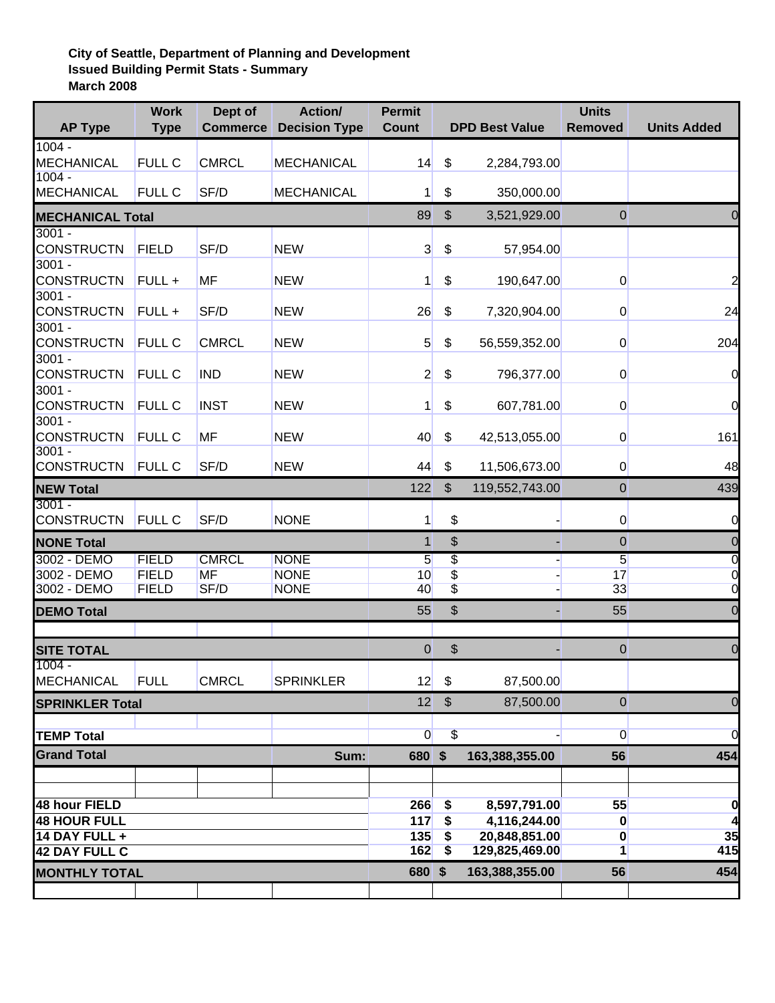## **City of Seattle, Department of Planning and Development Issued Building Permit Stats - Summary March 2008**

| <b>AP Type</b>                | <b>Work</b><br><b>Type</b>   | Dept of<br><b>Commerce</b> | Action/<br><b>Decision Type</b> | <b>Permit</b><br><b>Count</b> |                                               | <b>DPD Best Value</b> | <b>Units</b><br><b>Removed</b> | <b>Units Added</b>  |
|-------------------------------|------------------------------|----------------------------|---------------------------------|-------------------------------|-----------------------------------------------|-----------------------|--------------------------------|---------------------|
| $1004 -$                      |                              |                            |                                 |                               |                                               |                       |                                |                     |
| <b>MECHANICAL</b><br>$1004 -$ | <b>FULL C</b>                | <b>CMRCL</b>               | <b>MECHANICAL</b>               | 14                            | \$                                            | 2,284,793.00          |                                |                     |
| <b>MECHANICAL</b>             | <b>FULL C</b>                | SF/D                       | <b>MECHANICAL</b>               | 1                             | \$                                            | 350,000.00            |                                |                     |
| <b>MECHANICAL Total</b>       | 89                           | $\frac{1}{2}$              | 3,521,929.00                    | $\mathbf 0$                   |                                               |                       |                                |                     |
| $3001 -$                      |                              |                            |                                 |                               |                                               |                       |                                |                     |
| <b>CONSTRUCTN</b><br>$3001 -$ | <b>FIELD</b>                 | SF/D                       | <b>NEW</b>                      | 3                             | \$                                            | 57,954.00             |                                |                     |
| <b>CONSTRUCTN</b>             | FULL +                       | MF                         | <b>NEW</b>                      | 1                             | \$                                            | 190,647.00            | $\overline{0}$                 | 2                   |
| $3001 -$                      |                              |                            |                                 |                               |                                               |                       |                                |                     |
| <b>CONSTRUCTN</b>             | FULL +                       | SF/D                       | <b>NEW</b>                      | 26                            | \$                                            | 7,320,904.00          | $\overline{0}$                 | 24                  |
| $3001 -$                      |                              |                            |                                 |                               |                                               |                       |                                |                     |
| <b>CONSTRUCTN</b><br>$3001 -$ | <b>FULL C</b>                | <b>CMRCL</b>               | <b>NEW</b>                      | 5                             | \$                                            | 56,559,352.00         | $\overline{0}$                 | 204                 |
| <b>CONSTRUCTN</b>             | <b>FULL C</b>                | <b>IND</b>                 | <b>NEW</b>                      | $\mathbf{2}$                  | \$                                            | 796,377.00            | $\overline{0}$                 | $\overline{0}$      |
| $3001 -$                      |                              |                            |                                 |                               |                                               |                       |                                |                     |
| <b>CONSTRUCTN</b>             | <b>FULL C</b>                | <b>INST</b>                | <b>NEW</b>                      | 1                             | \$                                            | 607,781.00            | $\overline{0}$                 | $\overline{0}$      |
| $3001 -$                      |                              |                            |                                 |                               |                                               |                       |                                |                     |
| <b>CONSTRUCTN</b><br>$3001 -$ | <b>FULL C</b>                | MF                         | <b>NEW</b>                      | 40                            | \$                                            | 42,513,055.00         | $\overline{0}$                 | 161                 |
| <b>CONSTRUCTN</b>             | <b>FULL C</b>                | SF/D                       | <b>NEW</b>                      | 44                            | \$                                            | 11,506,673.00         | $\overline{0}$                 | 48                  |
| <b>NEW Total</b>              |                              |                            |                                 | 122                           | $\sqrt[6]{\frac{1}{2}}$                       | 119,552,743.00        | $\bf 0$                        | 439                 |
| $3001 -$                      |                              |                            |                                 |                               |                                               |                       |                                |                     |
| <b>CONSTRUCTN</b>             | <b>FULL C</b>                | SF/D                       | <b>NONE</b>                     | 1                             | \$                                            |                       | $\overline{0}$                 | 0                   |
| <b>NONE Total</b>             |                              |                            |                                 | $\mathbf{1}$                  | \$                                            |                       | $\mathbf 0$                    | 0                   |
| 3002 - DEMO                   | <b>FIELD</b>                 | <b>CMRCL</b>               | <b>NONE</b>                     | 5                             | $\overline{\mathcal{E}}$                      |                       | 5                              | 0                   |
| 3002 - DEMO<br>3002 - DEMO    | <b>FIELD</b><br><b>FIELD</b> | MF<br>SF/D                 | <b>NONE</b><br><b>NONE</b>      | 10<br>40                      | \$<br>$\overline{\$}$                         |                       | 17<br>33                       | 0<br>$\overline{0}$ |
| <b>DEMO Total</b>             |                              |                            |                                 | 55                            | \$                                            |                       | 55                             | 0                   |
|                               |                              |                            |                                 |                               |                                               |                       |                                |                     |
| <b>SITE TOTAL</b>             |                              |                            |                                 | 0                             | $\, \, \raisebox{12pt}{$\scriptstyle \circ$}$ |                       | $\mathbf 0$                    | 0                   |
| $1004 -$<br>MECHANICAL        | <b>FULL</b>                  | <b>CMRCL</b>               |                                 |                               | \$                                            |                       |                                |                     |
|                               |                              |                            | <b>SPRINKLER</b>                | 12                            |                                               | 87,500.00             |                                |                     |
| <b>SPRINKLER Total</b>        |                              |                            |                                 | 12                            | $\sqrt[6]{\frac{1}{2}}$                       | 87,500.00             | $\theta$                       | 0                   |
| <b>TEMP Total</b>             |                              |                            |                                 | $\overline{0}$                | $\overline{\mathcal{L}}$                      |                       | $\overline{0}$                 | $\overline{0}$      |
| <b>Grand Total</b>            |                              |                            | Sum:                            | 680 \$                        |                                               | 163,388,355.00        | 56                             | 454                 |
|                               |                              |                            |                                 |                               |                                               |                       |                                |                     |
| 48 hour FIELD                 |                              |                            |                                 | 266                           | \$                                            | 8,597,791.00          | 55                             | 0                   |
| <b>48 HOUR FULL</b>           |                              |                            |                                 | 117                           | \$                                            | 4,116,244.00          | $\bf{0}$                       |                     |
| 14 DAY FULL +                 |                              |                            |                                 | 135                           | \$                                            | 20,848,851.00         | $\bf{0}$                       | 35                  |
| <b>42 DAY FULL C</b>          |                              |                            |                                 | 162                           | $\overline{\mathbf{S}}$                       | 129,825,469.00        | $\overline{1}$                 | 415                 |
| <b>MONTHLY TOTAL</b>          |                              |                            |                                 | 680 \$                        |                                               | 163,388,355.00        | 56                             | 454                 |
|                               |                              |                            |                                 |                               |                                               |                       |                                |                     |